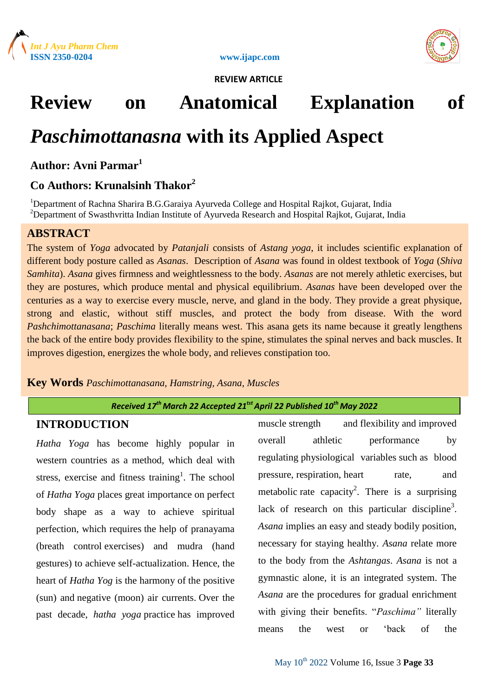

**ISSN 2350-0204 www.ijapc.com**



 **REVIEW ARTICLE** 

# **Review on Anatomical Explanation of**

# *Paschimottanasna* **with its Applied Aspect**

**Author: Avni Parmar<sup>1</sup>**

# **Co Authors: Krunalsinh Thakor<sup>2</sup>**

<sup>1</sup>Department of Rachna Sharira B.G.Garaiya Ayurveda College and Hospital Rajkot, Gujarat, India <sup>2</sup>Department of Swasthvritta Indian Institute of Ayurveda Research and Hospital Rajkot, Gujarat, India

# **ABSTRACT**

The system of *Yoga* advocated by *Patanjali* consists of *Astang yoga*, it includes scientific explanation of different body posture called as *Asanas*. Description of *Asana* was found in oldest textbook of *Yoga* (*Shiva Samhita*). *Asana* gives firmness and weightlessness to the body. *Asanas* are not merely athletic exercises, but they are postures, which produce mental and physical equilibrium. *Asanas* have been developed over the centuries as a way to exercise every muscle, nerve, and gland in the body. They provide a great physique, strong and elastic, without stiff muscles, and protect the body from disease. With the word *Pashchimottanasana*; *Paschima* literally means west. This asana gets its name because it greatly lengthens the back of the entire body provides flexibility to the spine, stimulates the spinal nerves and back muscles. It improves digestion, energizes the whole body, and relieves constipation too.

**Key Words** *Paschimottanasana, Hamstring, Asana, Muscles*

#### *Received 17th March 22 Accepted 21tstApril 22 Published 10th May 2022*

# **INTRODUCTION**

*Hatha Yoga* has become highly popular in western countries as a method, which deal with stress, exercise and fitness training<sup>1</sup>. The school of *Hatha Yoga* places great importance on perfect body shape as a way to achieve spiritual perfection, which requires the help of pranayama (breath control exercises) and mudra (hand gestures) to achieve self-actualization. Hence, the heart of *Hatha Yog* is the harmony of the positive (sun) and negative (moon) air currents. Over the past decade, *hatha yoga* practice has improved

muscle strength and flexibility and improved overall athletic performance by regulating physiological variables such as blood pressure, respiration, heart rate, and metabolic rate capacity<sup>2</sup>. There is a surprising lack of research on this particular discipline<sup>3</sup>. *Asana* implies an easy and steady bodily position, necessary for staying healthy. *Asana* relate more to the body from the *Ashtangas*. *Asana* is not a gymnastic alone, it is an integrated system. The *Asana* are the procedures for gradual enrichment with giving their benefits. "*Paschima"* literally means the west or 'back of the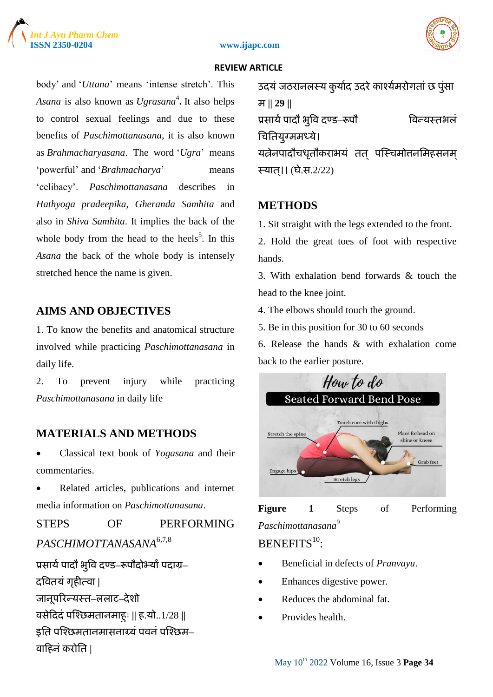





body' and '*Uttana*' means 'intense stretch'. This *Asana* is also known as *Ugrasana*<sup>4</sup> **.** It also helps to control sexual feelings and due to these benefits of *Paschimottanasana*, it is also known as *Brahmacharyasana*. The word '*Ugra*' means 'powerful' and '*Brahmacharya*' means 'celibacy'. *Paschimottanasana* describes in *Hathyoga pradeepika*, *Gheranda Samhita* and also in *Shiva Samhita*. It implies the back of the whole body from the head to the heels<sup>5</sup>. In this *Asana* the back of the whole body is intensely stretched hence the name is given.

# **AIMS AND OBJECTIVES**

1. To know the benefits and anatomical structure involved while practicing *Paschimottanasana* in daily life.

2. To prevent injury while practicing *Paschimottanasana* in daily life

# **MATERIALS AND METHODS**

 Classical text book of *Yogasana* and their commentaries.

 Related articles, publications and internet media information on *Paschimottanasana*.

STEPS OF PERFORMING *PASCHIMOTTANASANA*6,7,8 प्रसार्य पादौ भूवि दण्ड–रूपौदोभ्यां पदाग्र– दवितयंगॄहीत्िा **|** जानूऩररन्यस्त**–**ऱऱाट**–**देशो िसेदददं ऩश्छिमतानमाहु् **||** ह.यो..1/28 **||** इति पश्छिमतानमासनाग्र्यं पवनं पश्छिम–

िादहनंकरोतत **|**

उदयं जठरानलस्य कुर्याद उदरे काश्येमरोगतां छ पुंसा म **|| 29 ||** प्रसार्य पादौ भूवि दण्ड–रूपौ विन्यस्तभलं तिततयुग्ममध्ये। यत्नेनपादौचधृतौकराभयं तत् पस्चिमोत्तनमिहसनम स्यात।। (घे.स. $2/22$ )

### **METHODS**

1. Sit straight with the legs extended to the front.

2. Hold the great toes of foot with respective hands.

3. With exhalation bend forwards & touch the head to the knee joint.

4. The elbows should touch the ground.

5. Be in this position for 30 to 60 seconds

6. Release the hands & with exhalation come back to the earlier posture.





BENEFITS<sup>10</sup>:

- Beneficial in defects of *Pranvayu*.
- Enhances digestive power.
- Reduces the abdominal fat.
- Provides health.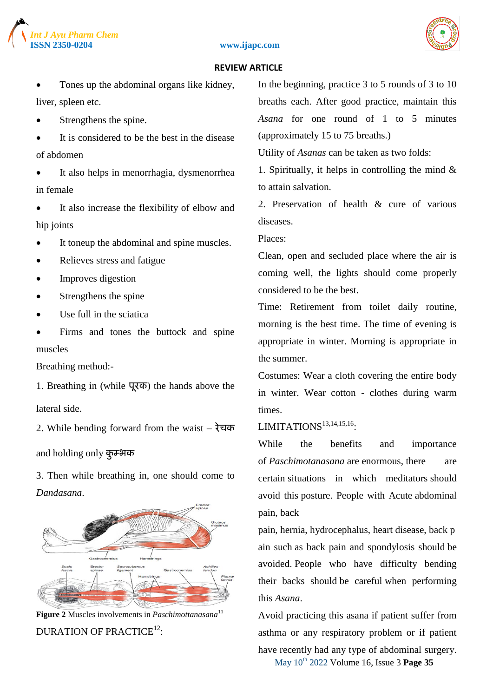





 Tones up the abdominal organs like kidney, liver, spleen etc.

- Strengthens the spine.
- It is considered to be the best in the disease of abdomen
- It also helps in menorrhagia, dysmenorrhea in female
- It also increase the flexibility of elbow and hip joints
- It toneup the abdominal and spine muscles.
- Relieves stress and fatigue
- Improves digestion
- Strengthens the spine
- Use full in the sciatica
- Firms and tones the buttock and spine muscles

Breathing method:-

1. Breathing in (while पूरक) the hands above the lateral side.

2. While bending forward from the waist – रेचक

and holding only कुम्भक

3. Then while breathing in, one should come to *Dandasana*.



**Figure 2** Muscles involvements in *Paschimottanasana*<sup>11</sup> DURATION OF PRACTICE $^{12}$ :

In the beginning, practice 3 to 5 rounds of 3 to 10 breaths each. After good practice, maintain this *Asana* for one round of 1 to 5 minutes (approximately 15 to 75 breaths.)

Utility of *Asanas* can be taken as two folds:

1. Spiritually, it helps in controlling the mind  $\&$ to attain salvation.

2. Preservation of health & cure of various diseases.

Places:

Clean, open and secluded place where the air is coming well, the lights should come properly considered to be the best.

Time: Retirement from toilet daily routine, morning is the best time. The time of evening is appropriate in winter. Morning is appropriate in the summer.

Costumes: Wear a cloth covering the entire body in winter. Wear cotton - clothes during warm times.

# LIMITATIONS<sup>13,14,15,16</sup>:

While the benefits and importance of *Paschimotanasana* are enormous, there are certain situations in which meditators should avoid this posture. People with Acute abdominal pain, back

pain, hernia, hydrocephalus, heart disease, back p ain such as back pain and spondylosis should be avoided. People who have difficulty bending their backs should be careful when performing this *Asana*.

May 10th 2022 Volume 16, Issue 3 **Page 35** Avoid practicing this asana if patient suffer from asthma or any respiratory problem or if patient have recently had any type of abdominal surgery.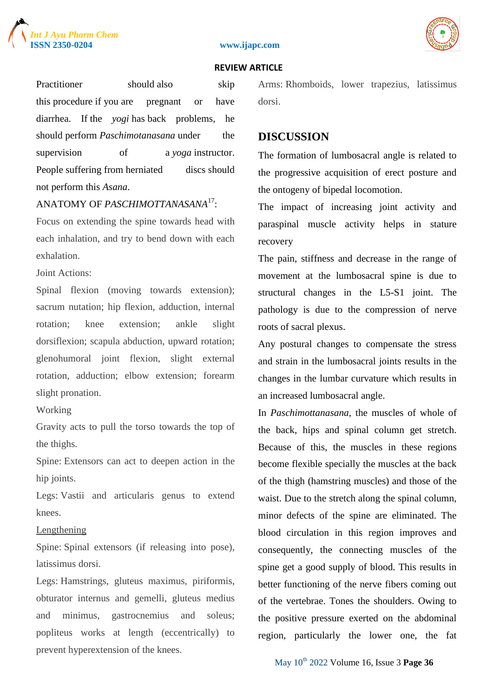





Practitioner should also skip this procedure if you are pregnant or have diarrhea. If the *yogi* has back problems, he should perform *Paschimotanasana* under the supervision of a *yoga* instructor. People suffering from herniated discs should not perform this *Asana*.

# ANATOMY OF *PASCHIMOTTANASANA*<sup>17</sup> :

Focus on extending the spine towards head with each inhalation, and try to bend down with each exhalation.

Joint Actions:

Spinal flexion (moving towards extension); sacrum nutation; hip flexion, adduction, internal rotation; knee extension; ankle slight dorsiflexion; scapula abduction, upward rotation; glenohumoral joint flexion, slight external rotation, adduction; elbow extension; forearm slight pronation.

Working

Gravity acts to pull the torso towards the top of the thighs.

Spine: Extensors can act to deepen action in the hip joints.

Legs: Vastii and articularis genus to extend knees.

#### Lengthening

Spine: Spinal extensors (if releasing into pose), latissimus dorsi.

Legs: Hamstrings, gluteus maximus, piriformis, obturator internus and gemelli, gluteus medius and minimus, gastrocnemius and soleus; popliteus works at length (eccentrically) to prevent hyperextension of the knees.

Arms: Rhomboids, lower trapezius, latissimus dorsi.

#### **DISCUSSION**

The formation of lumbosacral angle is related to the progressive acquisition of erect posture and the ontogeny of bipedal locomotion.

The impact of increasing joint activity and paraspinal muscle activity helps in stature recovery

The pain, stiffness and decrease in the range of movement at the lumbosacral spine is due to structural changes in the L5-S1 joint. The pathology is due to the compression of nerve roots of sacral plexus.

Any postural changes to compensate the stress and strain in the lumbosacral joints results in the changes in the lumbar curvature which results in an increased lumbosacral angle.

In *Paschimottanasana*, the muscles of whole of the back, hips and spinal column get stretch. Because of this, the muscles in these regions become flexible specially the muscles at the back of the thigh (hamstring muscles) and those of the waist. Due to the stretch along the spinal column, minor defects of the spine are eliminated. The blood circulation in this region improves and consequently, the connecting muscles of the spine get a good supply of blood. This results in better functioning of the nerve fibers coming out of the vertebrae. Tones the shoulders. Owing to the positive pressure exerted on the abdominal region, particularly the lower one, the fat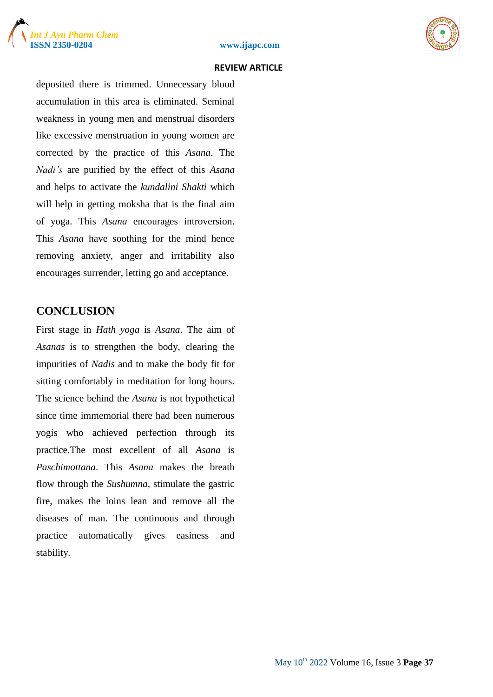





deposited there is trimmed. Unnecessary blood accumulation in this area is eliminated. Seminal weakness in young men and menstrual disorders like excessive menstruation in young women are corrected by the practice of this *Asana*. The *Nadi's* are purified by the effect of this *Asana* and helps to activate the *kundalini Shakti* which will help in getting moksha that is the final aim of yoga. This *Asana* encourages introversion. This *Asana* have soothing for the mind hence removing anxiety, anger and irritability also encourages surrender, letting go and acceptance.

# **CONCLUSION**

First stage in *Hath yoga* is *Asana*. The aim of *Asanas* is to strengthen the body, clearing the impurities of *Nadis* and to make the body fit for sitting comfortably in meditation for long hours. The science behind the *Asana* is not hypothetical since time immemorial there had been numerous yogis who achieved perfection through its practice.The most excellent of all *Asana* is *Paschimottana*. This *Asana* makes the breath flow through the *Sushumna*, stimulate the gastric fire, makes the loins lean and remove all the diseases of man. The continuous and through practice automatically gives easiness and stability.